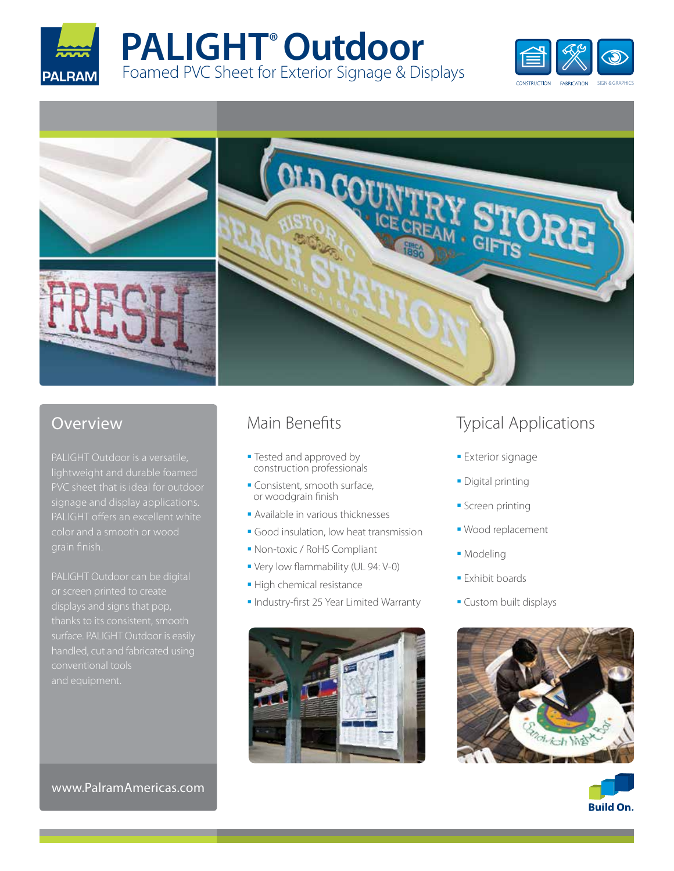









# Overview

PALIGHT Outdoor is a versatile, signage and display applications.

PALIGHT Outdoor can be digital displays and signs that pop, thanks to its consistent, smooth conventional tools

## www.PalramAmericas.com

# Main Benefits

- **Tested and approved by** construction professionals
- Consistent, smooth surface, or woodgrain finish
- Available in various thicknesses
- Good insulation, low heat transmission
- Non-toxic / RoHS Compliant
- Very low flammability (UL 94: V-0)
- **High chemical resistance**
- **Industry-first 25 Year Limited Warranty**



# Typical Applications

- **Exterior signage**
- **Digital printing**
- **Screen printing**
- Wood replacement
- **Modeling**
- **Exhibit boards**
- **Custom built displays**